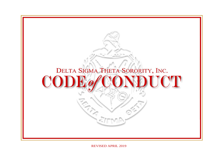

REVISED APRIL 2019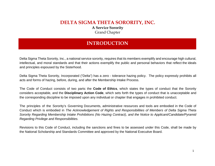## **DELTA SIGMA THETA SORORITY, INC. A Service Sorority** Grand Chapter

# **INTRODUCTION**

Delta Sigma Theta Sorority, Inc., a national service sorority, requires that its members exemplify and encourage high cultural, intellectual, and moral standards and that their actions exemplify the public and personal behaviors that reflect the ideals and principles espoused by the Sisterhood.

Delta Sigma Theta Sorority, Incorporated ("Delta") has a zero - tolerance hazing policy. The policy expressly prohibits all acts and forms of hazing, before, during, and after the Membership Intake Process.

The Code of Conduct consists of two parts: the **Code of Ethics**, which states the types of conduct that the Sorority considers acceptable, and the **Disciplinary Action Code**, which sets forth the types of conduct that is unacceptable and the corresponding discipline to be imposed upon any individual or chapter that engages in prohibited conduct.

The principles of the Sorority's Governing Documents, administrative resources and tools are embodied in the Code of Conduct which is embodied in *The Acknowledgement of Rights and Responsibilities of Members of Delta Sigma Theta Sorority Regarding Membership Intake Prohibitions (No Hazing Contract), and the Notice to Applicant/Candidate/Pyramid Regarding Privilege and Responsibilities.*

Revisions to this Code of Conduct, including the sanctions and fines to be assessed under this Code, shall be made by the National Scholarship and Standards Committee and approved by the National Executive Board.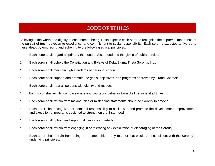# **CODE OF ETHICS**

Believing in the worth and dignity of each human being, Delta expects each soror to recognize the supreme importance of the pursuit of truth, devotion to excellence, and commitment to social responsibility. Each soror is expected to live up to these ideals by embracing and adhering to the following ethical principles:

- $\Delta$ Each soror shall regard as primary the bond of Sisterhood and the giving of public service;
- $\Delta$ Each soror shall uphold the Constitution and Bylaws of Delta Sigma Theta Sorority, Inc.;
- $\Delta$ Each soror shall maintain high standards of personal conduct;
- $\Delta$ Each soror shall support and promote the goals, objectives, and programs approved by Grand Chapter;
- $\Delta$ Each soror shall treat all persons with dignity and respect;
- $\Delta$ Each soror shall exhibit compassionate and courteous behavior toward all persons at all times;
- $\Delta$ Each soror shall refrain from making false or misleading statements about the Sorority to anyone;
- $\Lambda$  Each soror shall recognize her personal responsibility to assist with and promote the development, improvement, and execution of programs designed to strengthen the Sisterhood;
- $\Delta$ Each soror shall uphold and support all persons impartially;
- $\Delta$ Each soror shall refrain from engaging in or tolerating any exploitation or disparaging of the Sorority;
- $\Delta$  Each soror shall refrain from using her membership in any manner that would be inconsistent with the Sorority's underlying principles;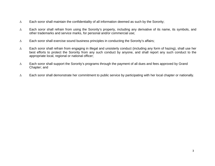- $\Delta$ Each soror shall maintain the confidentiality of all information deemed as such by the Sorority;
- $\Delta$  Each soror shall refrain from using the Sorority's property, including any derivative of its name, its symbols, and other trademarks and service marks, for personal and/or commercial use;
- $\Lambda$ Each soror shall exercise sound business principles in conducting the Sorority's affairs;
- $\Delta$  Each soror shall refrain from engaging in illegal and unsisterly conduct (including any form of hazing), shall use her best efforts to protect the Sorority from any such conduct by anyone, and shall report any such conduct to the appropriate local, regional or national officer;
- $\Delta$  Each soror shall support the Sorority's programs through the payment of all dues and fees approved by Grand Chapter; and
- $\Lambda$ Each soror shall demonstrate her commitment to public service by participating with her local chapter or nationally.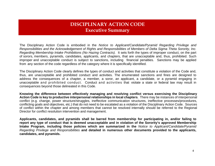# **DISCIPLINARY ACTION CODEExecutive Summary**

The Disciplinary Action Code is embodied in the *Notice to Applicant/Candidate/Pyramid Regarding Privilege and Responsibilities and the Acknowledgement of Rights and Responsibilities of Members of Delta Sigma Theta Sorority, Inc. Regarding Membership Intake Prohibitions (No Hazing Contracts).* It sets forth the types of improper conduct, on the part of sorors, members, pyramids, candidates, applicants, and chapters, that are unacceptable and, thus, prohibited. Such improper and unacceptable conduct is subject to sanctions, including financial penalties. Sanctions may be applied from any section of the code regardless of the category where it is specifically identified.

The Disciplinary Action Code clearly defines the types of conduct and activities that constitute a violation of the Code and, thus, are unacceptable and prohibited conduct and activities. The enumerated sanctions and fines are designed to address the consequences of a chapter, a member, a soror, an applicant, a candidate, or a pyramid engaging in unacceptable and prohibited conduct. Conduct and activities that violate a state or federal law may result in consequences beyond those delineated in this Code.

**Knowing the difference between effectively managing and resolving conflict versus exercising the Disciplinary Action Code is key to productive interpersonal relationships in local chapters**. There may be instances of interpersonal conflict (e.g. change, power structure/struggles, ineffective communication structures, ineffective processes/procedures, conflicting goals and objectives, etc.) that do not need to be escalated as a violation of the Disciplinary Action Code. Sources of conflict within the chapter and among members that cannot be resolved internally should be referred to the Regional Director for conflict resolution intervention and management.

**Applicants, candidates, and pyramids shall be barred from membership for participating in, and/or failing to report any type of conduct that is deemed unacceptable and in violation of the Sorority's approved Membership Intake Program, including those policies which are summarized in the** *Notice to Applicant/Candidate/Pyramid Regarding Privilege and Responsibilities* **and detailed in numerous other documents provided to the applicants, candidates, and pyramids.**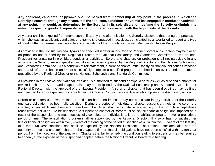**Any applicant, candidate, or pyramid shall be barred from membership at any point in the process in which the Sorority discovers, through any means, that the applicant, candidate or pyramid has engaged in conduct or activities at any point, that would, as determined by the Sorority in its sole discretion, defame the Sorority or diminish its esteem, respect or goodwill; injure its reputation; or are inconsistent with the high ideals of the Sorority.**

Any soror shall be expelled from membership, if at any time after initiation the Sorority discovers that during the process in which she was an applicant, candidate, or pyramid she engaged in activities, participated in, and/or failed to report any type of conduct that is deemed unacceptable and in violation of the Sorority's approved Membership Intake Program.

As provided in the *Constitution and Bylaws* and specified in detail in this Code of Conduct, sorors and chapters may be placed on probation and/or fined by the Regional Director, the National Scholarship and Standards Committee, or the National President for engaging in prohibited conduct or activities. Sorors and chapters on probation shall not participate in any activity of the Sorority, except specified, monitored activities approved by the Regional Director and the National Scholarship and Standards Committee. As a condition of reinstatement, a soror or chapter must satisfy all financial obligations imposed as a result of the probation and must successfully complete a specified program of rehabilitation over a period of time as prescribed by the Regional Director or the National Scholarship and Standards Committee.

As provided in the Bylaws, the National President is authorized to suspend or expel a soror as well as suspend a chapter or revoke its charter. Sorors and chapters also may be disciplined by the National Scholarship and Standards Committee or Regional Director, with the approval of the National President. A soror or chapter that has been disciplined may be fined and directed to repay expenses, as provided in the Code of Conduct, irrespective of who imposes the disciplinary action.

Sorors or chapters upon whom fines or restitution has been imposed may not participate in **any** activities of the Sorority until said obligation has been fully satisfied. During the period of individual or chapter suspension, neither the soror, the chapter, or any of its members who have been disciplined shall participate in any activity of the Sorority except those rehabilitative activities. To be reinstated, a suspended chapter or soror must satisfy all financial obligations imposed as a result of the suspension and must successfully complete an individually-tailored rehabilitation program, over a prescribed period of time. The rehabilitation program shall be supervised by the Regional Director. If a soror has not satisfied her fine or financial obligation within five (5) years of the ending of the period of sanction (*e.g*., within five (5) years of the last day of a three (3) year sanction), she shall be expelled by the National President. The National President also has the authority to revoke a chapter's charter if the chapter's fine or financial obligations have not been satisfied within a ten year period, from the inception of the sanction. Chapters that fail to remedy the condition leading to suspension may be required to appear, at the expense of the suspended chapter, before the National Executive Board for a hearing.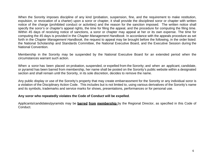When the Sorority imposes discipline of any kind (probation, suspension, fine, and the requirement to make restitution, expulsion, or revocation of a charter) upon a soror or chapter, it shall provide the disciplined soror or chapter with written notice of the charge (prohibited conduct or activities) and the reason for the sanction imposed. The written notice shall specify the soror's or chapter's appeal rights, the time for filing the appeal, and the procedure for computing the filing time. Within 45 days of receiving notice of sanctions, a soror or chapter may appeal at her or its own expense. The time for computing the 45 days is provided in the *Chapter Management Handbook*. In accordance with the appeals procedure as set forth in the *Chapter Management Handbook,* the request to appeal may be brought before the following, in the order listed: the National Scholarship and Standards Committee, the National Executive Board, and the Executive Session during the National Convention.

Membership in the Sorority may be suspended by the National Executive Board for an extended period when the circumstances warrant such action.

When a soror has been placed on probation, suspended, or expelled from the Sorority; and when an applicant, candidate, or pyramid has been barred from membership, her name shall be posted on the Sorority's public website within a designated section and shall remain until the Sorority, in its sole discretion, decides to remove the name.

Any public display or use of the Sorority's property that may create embarrassment for the Sorority or any individual soror is a violation of the Disciplinary Action Code. This includes but is not limited to, using various derivatives of the Sorority's name and its symbols, trademarks and service marks for shows, presentations, performances or for personal use.

#### **Any soror who repeatedly violates the Code of Conduct will be expelled**.

Applicants/candidates/pyramids may be **barred from membership** by the Regional Director, as specified in this Code of Conduct.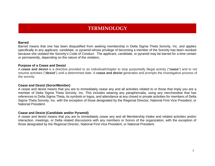# **TERMINOLOGY**

#### **Barred**

Barred means that one has been disqualified from seeking membership in Delta Sigma Theta Sorority, Inc. and applies specifically to any applicant, candidate, or pyramid whose privilege of becoming a member of the Sorority has been revoked because she violated the Sorority's Code of Conduct. The applicant, candidate, or pyramid may be barred for a time certain or permanently, depending on the nature of the violation**.**

#### **Purpose of a Cease and Desist**

A **cease and desist** is a directive provided to an individual/chapter to stop purportedly illegal activity ("**cease**") and to not resume activities ("**desist**") until a determined date. A **cease and desist** generates and prompts the investigative process of the sorority.

#### **Cease and Desist (Soror/Member)**

A cease and desist means that you are to immediately cease any and all activities related to or those that imply you are a member of Delta Sigma Theta Sorority, Inc. This includes wearing any paraphernalia, using any merchandise that has references to Delta Sigma Theta, its symbols or logos, and attendance at any closed or private activities for members of Delta Sigma Theta Sorority, Inc. with the exception of those designated by the Regional Director, National First Vice President, or National President.

#### **Cease and Desist (Candidate and/or Pyramid)**

A cease and desist means that you are to immediately cease any and all Membership Intake and related activities and/or interaction, meetings, or Delta related discussions with any members or Sorors of the organization, with the exception of those designated by the Regional Director, National First Vice President, or National President.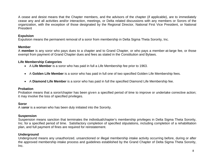A cease and desist means that the Chapter members, and the advisors of the chapter (if applicable), are to immediately cease any and all activities and/or interaction, meetings, or Delta related discussions with any members or Sorors of the organization, with the exception of those designated by the Regional Director, National First Vice President, or National President

### **Expulsion**

Expulsion means the permanent removal of a soror from membership in Delta Sigma Theta Sorority, Inc.

### **Member**

A **member** is any soror who pays dues to a chapter and to Grand Chapter, or who pays a member-at-large fee, or those exempt from payment of Grand Chapter dues and fees as stated in the Constitution and Bylaws.

### **Life Membership Categories**

- A **Life Member** is a soror who has paid in full a Life Membership fee prior to 1963.
- A **Golden Life Member** is a soror who has paid in full one of two specified Golden Life Membership fees.
- A **Diamond Life Member** is a soror who has paid in full the specified Diamond Life Membership fee.

### **Probation**

Probation means that a soror/chapter has been given a specified period of time to improve or undertake corrective action; it may involve the loss of specified privileges.

### **Soror**

A s**oror** is a woman who has been duly initiated into the Sorority.

### **Suspension**

Suspension means sanction that terminates the individual/chapter's membership privileges in Delta Sigma Theta Sorority, Inc. for a specified period of time. Satisfactory completion of specified stipulations, including completion of a rehabilitation plan, and full payment of fines are required for reinstatement.

### **Underground**

Underground means any unauthorized, unsanctioned or illegal membership intake activity occurring before, during or after the approved membership intake process and guidelines established by the Grand Chapter of Delta Sigma Theta Sorority, Inc.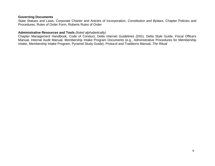#### **Governing Documents**

State Statues and Laws, Corporate Charter and Articles of Incorporation, *Constitution and Bylaws*, Chapter Policies and Procedures, Rules of Order Form, Roberts Rules of Order

#### **Administrative Resources and Tools** *(listed alphabetically)*

Chapter Management Handbook, Code of Conduct, Delta Internet Guidelines (DIG), Delta Style Guide, Fiscal Officers Manual, Internal Audit Manual, Membership Intake Program Documents (e.g., Administrative Procedures for Membership Intake, Membership Intake Program, Pyramid Study Guide), Protocol and Traditions Manual, *The Ritual*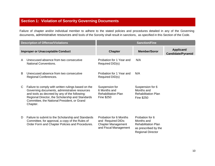## **Section 1: Violation of Sorority Governing Documents**

Failure of chapter and/or individual member to adhere to the stated policies and procedures detailed in any of the Governing documents, administrative resources and tools of the Sorority shall result in sanctions, as specified in this Section of the Code.

| <b>Description of Offense/Violations</b> |                                                                                                                                                                                                                                                                      | <b>Sanction/Fine</b>                                                                               |                                                                                                                 |                                        |
|------------------------------------------|----------------------------------------------------------------------------------------------------------------------------------------------------------------------------------------------------------------------------------------------------------------------|----------------------------------------------------------------------------------------------------|-----------------------------------------------------------------------------------------------------------------|----------------------------------------|
|                                          | <b>Improper or Unacceptable Conduct</b>                                                                                                                                                                                                                              | <b>Chapter</b>                                                                                     | <b>Member/Soror</b>                                                                                             | Applicant/<br><b>Candidate/Pyramid</b> |
| A                                        | Unexcused absence from two consecutive<br><b>National Conventions.</b>                                                                                                                                                                                               | Probation for 1 Year and<br>Required DID(s)                                                        | N/A                                                                                                             |                                        |
| B                                        | Unexcused absence from two consecutive<br>Regional Conferences.                                                                                                                                                                                                      | Probation for 1 Year and<br>Required DID(s)                                                        | N/A                                                                                                             |                                        |
| C.                                       | Failure to comply with written rulings based on the<br>Governing documents, administrative resources<br>and tools as decreed by any of the following:<br>Regional Director, the Scholarship and Standards<br>Committee, the National President, or Grand<br>Chapter. | Suspension for<br>6 Months and<br><b>Rehabilitation Plan</b><br>Fine \$250                         | Suspension for 6<br>Months and<br><b>Rehabilitation Plan</b><br><b>Fine \$250</b>                               |                                        |
| D                                        | Failure to submit to the Scholarship and Standards<br>Committee, for approval, a copy of the Rules of<br>Order Form and Chapter Policies and Procedures.                                                                                                             | Probation for 6 Months<br>and Required DIDs:<br><b>Chapter Management</b><br>and Fiscal Management | Probation for 6<br>Months and<br><b>Rehabilitation Plan</b><br>as prescribed by the<br><b>Regional Director</b> |                                        |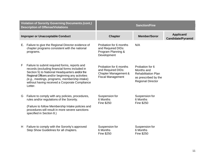|    | <b>Violation of Sorority Governing Documents (cont.)</b><br><b>Description of Offense/Violations</b>                                                                                                                                                                                                                 | <b>Sanction/Fine</b>                                                                             |                                                                                                                 |                                        |
|----|----------------------------------------------------------------------------------------------------------------------------------------------------------------------------------------------------------------------------------------------------------------------------------------------------------------------|--------------------------------------------------------------------------------------------------|-----------------------------------------------------------------------------------------------------------------|----------------------------------------|
|    | <b>Improper or Unacceptable Conduct</b>                                                                                                                                                                                                                                                                              | <b>Chapter</b>                                                                                   | <b>Member/Soror</b>                                                                                             | Applicant/<br><b>Candidate/Pyramid</b> |
| Е. | Failure to give the Regional Director evidence of<br>chapter programs consistent with the national<br>programs.                                                                                                                                                                                                      | Probation for 6 months<br>and Required DIDs:<br>Program Planning &<br>Development                | N/A                                                                                                             |                                        |
| F  | Failure to submit required forms, reports and<br>records (excluding financial forms included in<br>Section 5) to National Headquarters and/or the<br>Regional Officers and/or beginning any activities<br>(e.g., meetings, programs, membership intake)<br>without having received a Corporate Compliance<br>Letter. | Probation for 6 months<br>and Required DIDs:<br>Chapter Management &<br><b>Fiscal Management</b> | Probation for 6<br>Months and<br><b>Rehabilitation Plan</b><br>as prescribed by the<br><b>Regional Director</b> |                                        |
| G  | Failure to comply with any policies, procedures,<br>rules and/or regulations of the Sorority.<br>(Failure to follow Membership Intake policies and<br>procedures will result in more severe sanctions<br>specified in Section 8.)                                                                                    | Suspension for<br>6 Months<br><b>Fine \$250</b>                                                  | Suspension for<br>6 Months<br><b>Fine \$250</b>                                                                 |                                        |
| H  | Failure to comply with the Sorority's approved<br>Step Show Guidelines for all chapters.                                                                                                                                                                                                                             | Suspension for<br>6 Months<br>Fine \$250                                                         | Suspension for<br>6 Months<br><b>Fine \$250</b>                                                                 |                                        |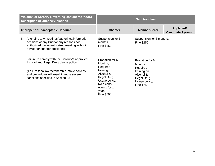|                                         | Violation of Sorority Governing Documents (cont.)<br><b>Description of Offense/Violations</b>                                                                                                                               | <b>Sanction/Fine</b>                                                                                                                                                   |                                                                                                                                 |                                        |
|-----------------------------------------|-----------------------------------------------------------------------------------------------------------------------------------------------------------------------------------------------------------------------------|------------------------------------------------------------------------------------------------------------------------------------------------------------------------|---------------------------------------------------------------------------------------------------------------------------------|----------------------------------------|
| <b>Improper or Unacceptable Conduct</b> |                                                                                                                                                                                                                             | <b>Chapter</b>                                                                                                                                                         | <b>Member/Soror</b>                                                                                                             | Applicant/<br><b>Candidate/Pyramid</b> |
| Ι.                                      | Attending any meetings/gatherings/information<br>sessions of any kind for any reasons not<br>authorized (i.e. unauthorized meeting without<br>advisor or chapter president).                                                | Suspension for 6<br>months,<br>Fine \$250                                                                                                                              | Suspension for 6 months,<br>Fine \$250                                                                                          |                                        |
|                                         | Failure to comply with the Sorority's approved<br>Alcohol and Illegal Drug Usage policy<br>(Failure to follow Membership Intake policies<br>and procedures will result in more severe<br>sanctions specified in Section 8.) | Probation for 6<br>Months,<br>Required<br>training on<br>Alcohol &<br><b>Illegal Drug</b><br>Usage policy,<br>No alcohol<br>events for 1<br>year,<br><b>Fine \$500</b> | Probation for 6<br>Months,<br>Required<br>training on<br>Alcohol &<br><b>Illegal Drug</b><br>Usage policy,<br><b>Fine \$250</b> |                                        |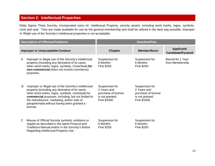## **Section 2: Intellectual Properties**

Delta Sigma Theta Sorority, Incorporated owns its' Intellectual Property, sorority assets, including word marks, logos, symbols, crest and seal. They are made available for use by the general membership and shall be utilized in the best way possible. Improper or illegal use of the Sorority's intellectual properties is not acceptable.

| <b>Description of Offense/Violations</b> |                                                                                                                                                                                                                                                                                                                               | <b>Sanction/Fine</b>                                                                   |                                                                                        |                                        |
|------------------------------------------|-------------------------------------------------------------------------------------------------------------------------------------------------------------------------------------------------------------------------------------------------------------------------------------------------------------------------------|----------------------------------------------------------------------------------------|----------------------------------------------------------------------------------------|----------------------------------------|
| <b>Improper or Unacceptable Conduct</b>  |                                                                                                                                                                                                                                                                                                                               | <b>Chapter</b>                                                                         | <b>Member/Soror</b>                                                                    | Applicant/<br><b>Candidate/Pyramid</b> |
| A                                        | Improper or illegal use of the Sorority's intellectual<br>property (including any derivative of its name,<br>other word marks, logos, symbols, Crest/Seal) for<br>non-commercial (does not involve commerce)<br>purposes.                                                                                                     | Suspension for<br>6 Months<br>Fine \$250                                               | Suspension for<br>6 Months<br>Fine \$250                                               | Barred for 1 Year<br>from Membership   |
| B                                        | Improper or illegal use of the Sorority's intellectual<br>property (including any derivative of its name,<br>other word marks, logos, symbols, crest/seal) for<br>commercial purposes, including, but not limited to<br>the manufacture, marketing, and/or sale of<br>paraphernalia without having been granted a<br>license. | Suspension for<br>2 Years and<br>purchase of license<br>is not granted.<br>Fine \$1000 | Suspension for<br>2 Years and<br>purchase of license<br>is not granted.<br>Fine \$1000 |                                        |
| C                                        | Misuse of Official Sorority symbols, emblems or<br>regalia as described in the latest Protocol and<br>Traditions Manual and/or in the Sorority's Notice<br>Regarding Intellectual Property Use.                                                                                                                               | Suspension for<br>6 Months<br>Fine \$250                                               | Suspension for<br>6 Months<br>Fine \$250                                               |                                        |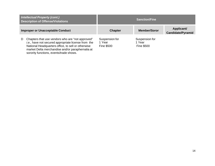| <b>Intellectual Property (cont.)</b><br><b>Description of Offense/Violations</b>                                                                                                                                                                                  | <b>Sanction/Fine</b>                          |                                               |                                        |
|-------------------------------------------------------------------------------------------------------------------------------------------------------------------------------------------------------------------------------------------------------------------|-----------------------------------------------|-----------------------------------------------|----------------------------------------|
| <b>Improper or Unacceptable Conduct</b>                                                                                                                                                                                                                           | <b>Chapter</b>                                | <b>Member/Soror</b>                           | Applicant/<br><b>Candidate/Pyramid</b> |
| Chapters that use vendors who are "not approved"<br>D<br>i.e., have not secured appropriate license from the<br>National Headquarters office, to sell or otherwise<br>market Delta merchandise and/or paraphernalia at<br>sorority functions, events/trade shows. | Suspension for<br>1 Year<br><b>Fine \$500</b> | Suspension for<br>1 Year<br><b>Fine \$500</b> |                                        |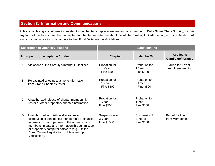### **Section 3: Information and Communications**

Publicly displaying any information related to the chapter, chapter members and any member of Delta Sigma Theta Sorority, Inc. via any form of media such as, but not limited to, chapter website, Facebook, YouTube, Twitter, LinkedIn, email, etc. is prohibited. All forms of communication must adhere to the official Delta Internet Guidelines.

|   | <b>Description of Offense/Violations</b>                                                                                                                                                                                                                                                                              | <b>Sanction/Fine</b>                         |                                              |                                           |
|---|-----------------------------------------------------------------------------------------------------------------------------------------------------------------------------------------------------------------------------------------------------------------------------------------------------------------------|----------------------------------------------|----------------------------------------------|-------------------------------------------|
|   | <b>Improper or Unacceptable Conduct</b>                                                                                                                                                                                                                                                                               | <b>Chapter</b>                               | <b>Member/Soror</b>                          | Applicant/<br><b>Candidate/Pyramid</b>    |
| A | Violations of the Sorority's Internet Guidelines.                                                                                                                                                                                                                                                                     | Probation for<br>1 Year<br><b>Fine \$500</b> | Probation for<br>1 Year<br><b>Fine \$500</b> | Barred for 1 Year<br>from Membership      |
| B | Releasing/disclosing to anyone information<br>from Grand Chapter's roster.                                                                                                                                                                                                                                            | Probation for<br>1 Year<br><b>Fine \$500</b> | Probation for<br>1 Year<br><b>Fine \$500</b> |                                           |
| C | Unauthorized release of chapter membership<br>roster or other proprietary chapter information.                                                                                                                                                                                                                        | Probation for<br>1 Year<br><b>Fine \$500</b> | Probation for<br>1 Year<br><b>Fine \$500</b> |                                           |
| D | Unauthorized acquisition, disclosure, or<br>distribution of confidential membership or financial<br>information. Improper use of the organization's<br>membership data and information through misuse<br>of proprietary computer software (e.g., Online<br>Dues, Online Registration, or Membership<br>Verification). | Suspension for<br>3 Years<br>Fine \$1500     | Suspension for<br>3 Years<br>Fine \$1500     | <b>Barred for Life</b><br>from Membership |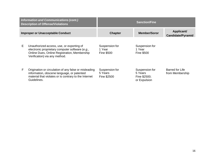| <b>Information and Communications (cont.)</b><br><b>Description of Offense/Violations</b> |                                                                                                                                                                               |                                               | <b>Sanction/Fine</b>                                      |                                        |
|-------------------------------------------------------------------------------------------|-------------------------------------------------------------------------------------------------------------------------------------------------------------------------------|-----------------------------------------------|-----------------------------------------------------------|----------------------------------------|
| <b>Improper or Unacceptable Conduct</b>                                                   |                                                                                                                                                                               | <b>Chapter</b>                                | <b>Member/Soror</b>                                       | Applicant/<br><b>Candidate/Pyramid</b> |
| E.                                                                                        | Unauthorized access, use, or exporting of<br>electronic proprietary computer software (e.g.,<br>Online Dues, Online Registration, Membership<br>Verification) via any method. | Suspension for<br>1 Year<br><b>Fine \$500</b> | Suspension for<br>1 Year<br><b>Fine \$500</b>             |                                        |
| F                                                                                         | Origination or circulation of any false or misleading<br>information, obscene language, or patented<br>material that violates or is contrary to the Internet<br>Guidelines.   | Suspension for<br>5 Years<br>Fine \$2500      | Suspension for<br>5 Years<br>Fine \$2500;<br>or Expulsion | Barred for Life<br>from Membership     |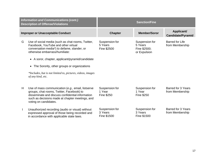|   | <b>Information and Communications (cont.)</b><br><b>Description of Offense/Violations</b>                                                                                                                                                                                                                                                                                   | <b>Sanction/Fine</b>                     |                                                           |                                              |
|---|-----------------------------------------------------------------------------------------------------------------------------------------------------------------------------------------------------------------------------------------------------------------------------------------------------------------------------------------------------------------------------|------------------------------------------|-----------------------------------------------------------|----------------------------------------------|
|   | <b>Improper or Unacceptable Conduct</b>                                                                                                                                                                                                                                                                                                                                     | <b>Chapter</b>                           | <b>Member/Soror</b>                                       | Applicant/<br><b>Candidate/Pyramid</b>       |
| G | Use of social media (such as chat rooms, Twitter,<br>Facebook, YouTube and other virtual<br>conversation media*) to defame, slander, or<br>otherwise embarrass/humiliate:<br>• A soror, chapter, applicant/pyramid/candidate<br>The Sorority, other groups or organizations<br>$\bullet$<br>*Includes, but is not limited to, pictures, videos, images<br>of any kind, etc. | Suspension for<br>5 Years<br>Fine \$2500 | Suspension for<br>5 Years<br>Fine \$2500;<br>or Expulsion | <b>Barred for Life</b><br>from Membership    |
| H | Use of mass communication (e.g., email, listserve<br>groups, chat rooms, Twitter, Facebook) to<br>disseminate and discuss confidential information<br>such as decisions made at chapter meetings, and<br>voting on candidates.                                                                                                                                              | Suspension for<br>1 Year<br>Fine \$250   | Suspension for<br>1 Year<br>Fine \$250                    | <b>Barred for 3 Years</b><br>from Membership |
|   | Unauthorized recording (audio or visual) without<br>expressed approval of those being recorded and<br>in accordance with applicable state laws.                                                                                                                                                                                                                             | Suspension for<br>3 Years<br>Fine \$1500 | Suspension for<br>3 Years<br>Fine \$1500                  | <b>Barred for 3 Years</b><br>from Membership |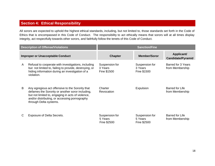## **Section 4: Ethical Responsibility**

All sorors are expected to uphold the highest ethical standards, including, but not limited to, those standards set forth in the Code of Ethics that is encompassed in this Code of Conduct. The responsibility to act ethically means that sorors will at all times display integrity, act respectfully towards other sorors, and faithfully follow the tenets of this Code of Conduct.

| <b>Description of Offense/Violations</b> |                                                                                                                                                                                                                                      | <b>Sanction/Fine</b>                     |                                          |                                           |
|------------------------------------------|--------------------------------------------------------------------------------------------------------------------------------------------------------------------------------------------------------------------------------------|------------------------------------------|------------------------------------------|-------------------------------------------|
| <b>Improper or Unacceptable Conduct</b>  |                                                                                                                                                                                                                                      | <b>Chapter</b>                           | <b>Member/Soror</b>                      | Applicant/<br><b>Candidate/Pyramid</b>    |
| A                                        | Refusal to cooperate with investigations, including<br>but not limited to, failing to provide, destroying, or<br>hiding information during an investigation of a<br>violation.                                                       | Suspension for<br>3 Years<br>Fine \$1500 | Suspension for<br>3 Years<br>Fine \$1500 | Barred for 3 Years<br>from Membership     |
| B                                        | Any egregious act offensive to the Sorority that<br>defames the Sorority or another soror including,<br>but not limited to, engaging in acts of violence,<br>and/or distributing, or accessing pornography<br>through Delta systems. | Charter<br>Revocation                    | Expulsion                                | Barred for Life<br>from Membership        |
|                                          | <b>Exposure of Delta Secrets.</b>                                                                                                                                                                                                    | Suspension for<br>5 Years<br>Fine \$2500 | Suspension for<br>5 Years<br>Fine \$2500 | <b>Barred for Life</b><br>from Membership |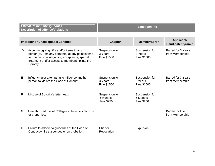| <b>Ethical Responsibility (cont.)</b><br><b>Description of Offense/Violations</b> |                                                                                                                                                                                                                   | <b>Sanction/Fine</b>                            |                                                 |                                              |
|-----------------------------------------------------------------------------------|-------------------------------------------------------------------------------------------------------------------------------------------------------------------------------------------------------------------|-------------------------------------------------|-------------------------------------------------|----------------------------------------------|
| <b>Improper or Unacceptable Conduct</b>                                           |                                                                                                                                                                                                                   | <b>Chapter</b>                                  | <b>Member/Soror</b>                             | Applicant/                                   |
|                                                                                   |                                                                                                                                                                                                                   |                                                 |                                                 | <b>Candidate/Pyramid</b>                     |
| D                                                                                 | Accepting/giving gifts and/or items to any<br>person(s), from any person(s) at any point in time<br>for the purpose of gaining acceptance, special<br>treatment and/or access to membership into the<br>Sorority. | Suspension for<br>3 Years<br>Fine \$1500        | Suspension for<br>3 Years<br>Fine \$1500        | <b>Barred for 3 Years</b><br>from Membership |
| Е                                                                                 | Influencing or attempting to influence another<br>person to violate the Code of Conduct.                                                                                                                          | Suspension for<br>3 Years<br>Fine \$1500        | Suspension for<br>3 Years<br>Fine \$1500        | <b>Barred for 3 Years</b><br>from Membership |
| F                                                                                 | Misuse of Sorority's letterhead.                                                                                                                                                                                  | Suspension for<br>6 Months<br><b>Fine \$250</b> | Suspension for<br>6 Months<br><b>Fine \$250</b> |                                              |
| G                                                                                 | Unauthorized use of College or University records<br>or properties.                                                                                                                                               |                                                 |                                                 | <b>Barred for Life</b><br>from Membership    |
| H                                                                                 | Failure to adhere to guidelines of the Code of<br>Conduct while suspended or on probation.                                                                                                                        | Charter<br>Revocation                           | Expulsion                                       |                                              |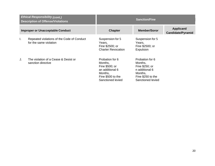| <b>Ethical Responsibility (cont.)</b><br><b>Description of Offense/Violations</b> |                                                                      |                                                                                                                      | <b>Sanction/Fine</b>                                                                                                |                                        |
|-----------------------------------------------------------------------------------|----------------------------------------------------------------------|----------------------------------------------------------------------------------------------------------------------|---------------------------------------------------------------------------------------------------------------------|----------------------------------------|
|                                                                                   | <b>Improper or Unacceptable Conduct</b>                              | <b>Chapter</b>                                                                                                       | <b>Member/Soror</b>                                                                                                 | Applicant/<br><b>Candidate/Pyramid</b> |
| I.                                                                                | Repeated violations of the Code of Conduct<br>for the same violation | Suspension for 5<br>Years,<br>Fine \$2500; or<br><b>Charter Revocation</b>                                           | Suspension for 5<br>Years,<br>Fine \$2500; or<br>Expulsion                                                          |                                        |
| J.                                                                                | The violation of a Cease & Desist or<br>sanction directive           | Probation for 6<br>Months,<br>Fine \$500; or<br>an additional 6<br>Months,<br>Fine \$500 to the<br>Sanctioned levied | Probation for 6<br>Months,<br>Fine \$250; or<br>n additional 6<br>Months,<br>Fine \$250 to the<br>Sanctioned levied |                                        |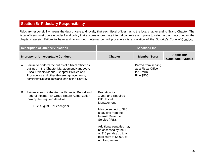## **Section 5: Fiduciary Responsibility**

Fiduciary responsibility means the duty of care and loyalty that each fiscal officer has to the local chapter and to Grand Chapter. The fiscal officers must operate under fiscal policy that ensures appropriate internal controls are in place to safeguard and account for the chapter's assets. Failure to have and follow good internal control procedures is a violation of the Sorority's Code of Conduct.

|   | <b>Description of Offense/Violations</b>                                                                                                                                                                                                                 | <b>Sanction/Fine</b>                                                                                                                                                                                                                                                                             |                                                                               |                                        |
|---|----------------------------------------------------------------------------------------------------------------------------------------------------------------------------------------------------------------------------------------------------------|--------------------------------------------------------------------------------------------------------------------------------------------------------------------------------------------------------------------------------------------------------------------------------------------------|-------------------------------------------------------------------------------|----------------------------------------|
|   | <b>Improper or Unacceptable Conduct</b>                                                                                                                                                                                                                  | <b>Chapter</b>                                                                                                                                                                                                                                                                                   | <b>Member/Soror</b>                                                           | Applicant/<br><b>Candidate/Pyramid</b> |
| A | Failure to perform the duties of a fiscal officer as<br>outlined in the Chapter Management Handbook,<br>Fiscal Officers Manual, Chapter Policies and<br>Procedures and other Governing documents,<br>administrative resources and tools of the Sorority. |                                                                                                                                                                                                                                                                                                  | Barred from serving<br>as a Fiscal Officer<br>for 1 term<br><b>Fine \$500</b> |                                        |
| B | Failure to submit the Annual Financial Report and<br>Federal Income Tax Group Return Authorization<br>form by the required deadline:<br>Due August 31st each year                                                                                        | Probation for<br>1 year and Required<br>DID: Fiscal<br>Management<br>May be subject to \$20<br>a day fine from the<br><b>Internal Revenue</b><br>Service (IRS).<br>Additional penalties may<br>be assessed by the IRS<br>at \$10 per day up to a<br>maximum of \$5,000 for<br>not filing return. |                                                                               |                                        |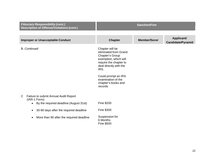| <b>Fiduciary Responsibility (cont.)</b><br><b>Description of Offense/Violations (cont.)</b> | <b>Sanction/Fine</b>                                                                                                                             |                     |                                        |
|---------------------------------------------------------------------------------------------|--------------------------------------------------------------------------------------------------------------------------------------------------|---------------------|----------------------------------------|
|                                                                                             |                                                                                                                                                  |                     |                                        |
| <b>Improper or Unacceptable Conduct</b>                                                     | <b>Chapter</b>                                                                                                                                   | <b>Member/Soror</b> | Applicant/<br><b>Candidate/Pyramid</b> |
| <b>B.</b> Continued                                                                         | Chapter will be<br>eliminated from Grand<br>Chapter's Group<br>exemption, which will<br>require the chapter to<br>deal directly with the<br>IRS. |                     |                                        |
|                                                                                             | Could prompt an IRS<br>examination of the<br>chapter's books and<br>records                                                                      |                     |                                        |
| Failure to submit Annual Audit Report<br>C<br>(IAR-1 Form):                                 |                                                                                                                                                  |                     |                                        |
| By the required deadline (August 31st)<br>$\bullet$                                         | Fine \$200                                                                                                                                       |                     |                                        |
| 30-90 days after the required deadline<br>$\bullet$                                         | Fine \$300                                                                                                                                       |                     |                                        |
| More than 90 after the required deadline<br>$\bullet$                                       | Suspension for<br>6 Months<br><b>Fine \$500</b>                                                                                                  |                     |                                        |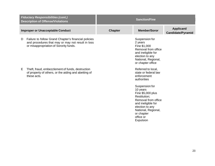|   | <b>Fiduciary Responsibilities (cont.)</b><br><b>Description of Offense/Violations</b>                                                               | <b>Sanction/Fine</b> |                                                                                                                                                                                                |                                        |
|---|-----------------------------------------------------------------------------------------------------------------------------------------------------|----------------------|------------------------------------------------------------------------------------------------------------------------------------------------------------------------------------------------|----------------------------------------|
|   | <b>Improper or Unacceptable Conduct</b>                                                                                                             | <b>Chapter</b>       | <b>Member/Soror</b>                                                                                                                                                                            | Applicant/<br><b>Candidate/Pyramid</b> |
| D | Failure to follow Grand Chapter's financial policies<br>and procedures that may or may not result in loss<br>or misappropriation of Sorority funds. |                      | Suspension for<br>2 years<br>Fine \$1,000<br>Removal from office<br>and ineligible for<br>election to any<br>National, Regional,<br>or chapter office                                          |                                        |
| Е | Theft, fraud, embezzlement of funds, destruction<br>of property of others, or the aiding and abetting of<br>these acts.                             |                      | Referred to local,<br>state or federal law<br>enforcement<br>authorities                                                                                                                       |                                        |
|   |                                                                                                                                                     |                      | Suspension for<br>10 years<br>Fine \$5,000 plus<br>Restitution;<br>Removal from office<br>and ineligible for<br>election to any<br>National, Regional,<br>or chapter<br>office or<br>Expulsion |                                        |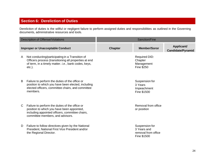## **Section 6: Dereliction of Duties**

Dereliction of duties is the willful or negligent failure to perform assigned duties and responsibilities as outlined in the Governing documents, administrative resources and tools.

| <b>Description of Offense/Violations</b> |                                                                                                                                                                                     |                | Sanction/Fine                                                       |                                        |
|------------------------------------------|-------------------------------------------------------------------------------------------------------------------------------------------------------------------------------------|----------------|---------------------------------------------------------------------|----------------------------------------|
|                                          | <b>Improper or Unacceptable Conduct</b>                                                                                                                                             | <b>Chapter</b> | <b>Member/Soror</b>                                                 | Applicant/<br><b>Candidate/Pyramid</b> |
| A                                        | Not conducting/participating in a Transition of<br>Officers process (transitioning all properties at end<br>of term, in a timely matter. i.e., bank codes, keys,<br>$etc.$ ).       |                | <b>Required DID:</b><br>Chapter<br>Management<br><b>Fine \$250</b>  |                                        |
| B                                        | Failure to perform the duties of the office or<br>position to which you have been elected, including<br>elected officers, committee chairs, and committee<br>members.               |                | Suspension for<br>3 Years<br>Impeachment<br>Fine \$1500             |                                        |
| $\mathsf{C}$                             | Failure to perform the duties of the office or<br>position to which you have been appointed,<br>including appointed officers, committee chairs,<br>committee members, and advisors. |                | Removal from office<br>or position                                  |                                        |
| D                                        | Failure to follow directives given by the National<br>President, National First Vice President and/or<br>the Regional Director.                                                     |                | Suspension for<br>3 Years and<br>removal from office<br>Fine \$1500 |                                        |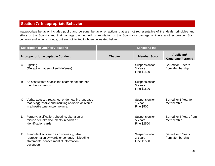## **Section 7: Inappropriate Behavior**

Inappropriate behavior includes public and personal behavior or actions that are not representative of the ideals, principles and ethics of the Sorority and that damage the goodwill or reputation of the Sorority or damage or injure another person. Such behavior and actions include, but are not limited to those delineated below.

|   | <b>Description of Offense/Violations</b>                                                                                                             |                | <b>Sanction/Fine</b>                          |                                              |
|---|------------------------------------------------------------------------------------------------------------------------------------------------------|----------------|-----------------------------------------------|----------------------------------------------|
|   | <b>Improper or Unacceptable Conduct</b>                                                                                                              | <b>Chapter</b> | <b>Member/Soror</b>                           | Applicant/<br><b>Candidate/Pyramid</b>       |
| A | Fighting<br>(Except in matters of self-defense)                                                                                                      |                | Suspension for<br>3 Years<br>Fine \$1500      | <b>Barred for 3 Years</b><br>from Membership |
| B | An assault that attacks the character of another<br>member or person.                                                                                |                | Suspension for<br>3 Years<br>Fine \$1500      |                                              |
| C | Verbal abuse: threats, foul or demeaning language<br>that is aggressive and insulting and/or is delivered<br>in a hostile tone and/or volume.        |                | Suspension for<br>1 Year<br><b>Fine \$500</b> | Barred for 1 Year for<br>Membership          |
| D | Forgery, falsification, cheating, alteration or<br>misuse of Delta documents, records or<br>identification cards.                                    |                | Suspension for<br>5 Years<br>Fine \$2500      | Barred for 5 Years from<br>Membership        |
| Е | Fraudulent acts such as dishonesty, false<br>representation by words or conduct, misleading<br>statements, concealment of information,<br>deception. |                | Suspension for<br>3 Years<br>Fine \$1500      | Barred for 3 Years<br>from Membership        |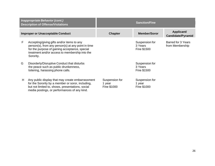|   | <b>Inappropriate Behavior (cont.)</b><br><b>Description of Offense/Violations</b>                                                                                                                                 | <b>Sanction/Fine</b>                    |                                          |                                        |
|---|-------------------------------------------------------------------------------------------------------------------------------------------------------------------------------------------------------------------|-----------------------------------------|------------------------------------------|----------------------------------------|
|   | <b>Improper or Unacceptable Conduct</b>                                                                                                                                                                           | <b>Chapter</b>                          | <b>Member/Soror</b>                      | Applicant/<br><b>Candidate/Pyramid</b> |
| F | Accepting/giving gifts and/or items to any<br>person(s), from any person(s) at any point in time<br>for the purpose of gaining acceptance, special<br>treatment and/or access to membership into the<br>Sorority. |                                         | Suspension for<br>3 Years<br>Fine \$1500 | Barred for 3 Years<br>from Membership  |
| G | Disorderly/Disruptive Conduct that disturbs<br>the peace such as public drunkenness,<br>loitering, harassing phone calls.                                                                                         |                                         | Suspension for<br>3 Years<br>Fine \$1500 |                                        |
| H | Any public display that may create embarrassment<br>for the Sorority by a member or soror, including,<br>but not limited to, shows, presentations, social<br>media postings, or performances of any kind.         | Suspension for<br>1 year<br>Fine \$1000 | Suspension for<br>1 year<br>Fine \$1000  |                                        |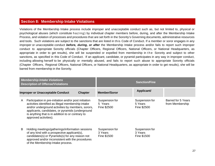### **Section 8: Membership Intake Violations**

Violations of the Membership Intake process include improper and unacceptable conduct such as, but not limited to, physical or psychological abuses (which constitute h a z ing) by individual chapter members before, during, and after the Membership Intake Process, and violation of processes and procedures that are set forth in the Sorority's Governing documents, administrative resources and tools. Such violations are subject to the sanctions that are listed in this Code of Conduct. If a member or soror engages in any improper or unacceptable conduct *before, during, or after* the Membership Intake process and/or fails to report such improper conduct to appropriate Sorority officials (Chapter Officers, Regional Officers, National Officers, or National Headquarters, as appropriate in order to get results), she will be suspended or expelled from membership in the Sorority and subject to other sanctions, as specified in this Code of Conduct. If an applicant, candidate, or pyramid participates in any way in improper conduct, including allowing herself to be physically or mentally abused, and fails to report such abuse to appropriate Sorority officials (Chapter Officers, Regional Officers, National Officers, or National Headquarters, as appropriate in order to get results), she will be barred from membership in the Sorority.

| <b>Membership Intake Violations</b><br><b>Description of Offense/Violations</b> |                                                                                                                                                                                                                                                                                                     |  | <b>Sanction/Fine</b>                     |                                          |                                       |
|---------------------------------------------------------------------------------|-----------------------------------------------------------------------------------------------------------------------------------------------------------------------------------------------------------------------------------------------------------------------------------------------------|--|------------------------------------------|------------------------------------------|---------------------------------------|
|                                                                                 | <b>Improper or Unacceptable Conduct</b><br><b>Chapter</b>                                                                                                                                                                                                                                           |  | <b>Member/Soror</b>                      | Applicant/                               |                                       |
| A                                                                               | Participation in pre-initiation and/or post initiation<br>activities identified as illegal membership intake<br>and/or underground activities by members, sorors,<br>applicants, candidates, or pyramids (underground<br>is anything that is in addition to or contrary to<br>approved activities). |  | Suspension for<br>5 Years<br>Fine \$2500 | Suspension for<br>5 Years<br>Fine \$2500 | Barred for 5 Years<br>from Membership |
| B                                                                               | Holding meetings/gatherings/information sessions<br>of any kind with a prospective applicant(s),<br>candidates(s) or Pyramids(s) for any reason not<br>approved and/or inconsistent with the procedures<br>of the Membership Intake process.                                                        |  | Suspension for<br>3 Years<br>Fine \$1500 | Suspension for<br>3 Years<br>Fine \$1500 |                                       |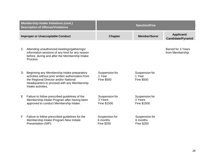|                                         | <b>Membership Intake Violations (cont.)</b><br><b>Description of Offense/Violations</b>                                                                                                                          | <b>Sanction/Fine</b>                            |                                                 |                                        |
|-----------------------------------------|------------------------------------------------------------------------------------------------------------------------------------------------------------------------------------------------------------------|-------------------------------------------------|-------------------------------------------------|----------------------------------------|
| <b>Improper or Unacceptable Conduct</b> |                                                                                                                                                                                                                  | <b>Chapter</b>                                  | <b>Member/Soror</b>                             | Applicant/<br><b>Candidate/Pyramid</b> |
| C                                       | Attending unauthorized meetings/gatherings/<br>information sessions of any kind for any reason<br>before, during and after the Membership Intake<br>Process.                                                     |                                                 |                                                 | Barred for 3 Years<br>from Membership  |
| D                                       | Beginning any Membership Intake preparatory<br>activities without prior written authorization from<br>the Regional Director and/or National<br>Headquarters to proceed with any Membership<br>Intake activities. | Suspension for<br>1 Year<br><b>Fine \$500</b>   | Suspension for<br>1 Year<br><b>Fine \$500</b>   |                                        |
| Е                                       | Failure to follow prescribed guidelines of the<br>Membership Intake Program after having been<br>approved to conduct Membership Intake.                                                                          | Suspension for<br>3 Years<br>Fine \$1500        | Suspension for<br>3 Years<br>Fine \$1500        |                                        |
| F                                       | Failure to follow prescribed guidelines for the<br>Membership Intake Program New Initiate<br>Presentation (NIP).                                                                                                 | Suspension for<br>6 months<br><b>Fine \$250</b> | Suspension for<br>6 months<br><b>Fine \$250</b> |                                        |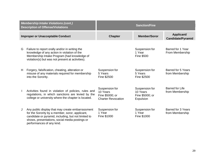| <b>Membership Intake Violations (cont.)</b><br><b>Description of Offense/Violations</b> |                                                                                                                                                                                                                                           |                                                                            | <b>Sanction/Fine</b>                                       |                                              |
|-----------------------------------------------------------------------------------------|-------------------------------------------------------------------------------------------------------------------------------------------------------------------------------------------------------------------------------------------|----------------------------------------------------------------------------|------------------------------------------------------------|----------------------------------------------|
|                                                                                         | <b>Improper or Unacceptable Conduct</b>                                                                                                                                                                                                   | <b>Chapter</b>                                                             | <b>Member/Soror</b>                                        | Applicant/<br><b>Candidate/Pyramid</b>       |
| G                                                                                       | Failure to report orally and/or in writing the<br>knowledge of any action in violation of the<br>Membership Intake Program (had knowledge of<br>violation(s) but was not present at activities).                                          |                                                                            | Suspension for<br>1 Year<br><b>Fine \$500</b>              | Barred for 1 Year<br>From Membership         |
| H                                                                                       | Forgery, falsification, cheating, alteration or<br>misuse of any materials required for membership<br>into the Sorority.                                                                                                                  | Suspension for<br>5 Years<br>Fine \$2500                                   | Suspension for<br>5 Years<br>Fine \$2500                   | <b>Barred for 5 Years</b><br>from Membership |
|                                                                                         | Activities found in violation of policies, rules and<br>regulations, in which sanctions are levied by the<br>college or university where the chapter is located.                                                                          | Suspension for<br>10 Years<br>Fine \$5000; or<br><b>Charter Revocation</b> | Suspension for<br>10 Years<br>Fine \$5000; or<br>Expulsion | <b>Barred for Life</b><br>from Membership    |
| J                                                                                       | Any public display that may create embarrassment<br>for the Sorority by a member, soror, applicant,<br>candidate or pyramid, including, but not limited to<br>shows, presentations, social media postings or<br>performances of any kind. | Suspension for<br>1 Year<br>Fine \$1000                                    | Suspension for<br>1 Year<br>Fine \$1000                    | Barred for 3 Years<br>from Membership        |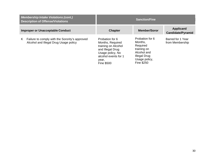|    | <b>Membership Intake Violations (cont.)</b><br><b>Sanction/Fine</b><br><b>Description of Offense/Violations</b> |                                                                                                                                                          |                                                                                                                     |                                        |
|----|-----------------------------------------------------------------------------------------------------------------|----------------------------------------------------------------------------------------------------------------------------------------------------------|---------------------------------------------------------------------------------------------------------------------|----------------------------------------|
|    | <b>Improper or Unacceptable Conduct</b>                                                                         | <b>Chapter</b>                                                                                                                                           | <b>Member/Soror</b>                                                                                                 | Applicant/<br><b>Candidate/Pyramid</b> |
| K. | Failure to comply with the Sorority's approved<br>Alcohol and Illegal Drug Usage policy                         | Probation for 6<br>Months, Required<br>training on Alcohol<br>and Illegal Drug<br>Usage policy, No<br>alcohol events for 1<br>year,<br><b>Fine \$500</b> | Probation for 6<br>Months,<br>Required<br>training on<br>Alcohol and<br>Illegal Drug<br>Usage policy,<br>Fine \$250 | Barred for 1 Year<br>from Membership   |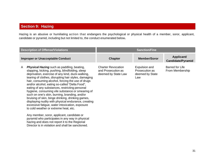## **Section 9: Hazing**

Hazing is an abusive or humiliating action that endangers the psychological or physical health of a member, soror, applicant, candidate or pyramid, including but not limited to, the conduct enumerated below**.**

| <b>Description of Offense/Violations</b>                                                                                                                                                                                                                                                                                                                                                                                                                                                                                                                                                                                                                                                                                                                                                                                                                                                           |                                                                        | <b>Sanction/Fine</b>                                      |                                           |
|----------------------------------------------------------------------------------------------------------------------------------------------------------------------------------------------------------------------------------------------------------------------------------------------------------------------------------------------------------------------------------------------------------------------------------------------------------------------------------------------------------------------------------------------------------------------------------------------------------------------------------------------------------------------------------------------------------------------------------------------------------------------------------------------------------------------------------------------------------------------------------------------------|------------------------------------------------------------------------|-----------------------------------------------------------|-------------------------------------------|
| <b>Improper or Unacceptable Conduct</b>                                                                                                                                                                                                                                                                                                                                                                                                                                                                                                                                                                                                                                                                                                                                                                                                                                                            | <b>Chapter</b>                                                         | <b>Member/Soror</b>                                       | Applicant/<br><b>Candidate/Pyramid</b>    |
| <b>Physical Hazing</b> such as paddling, beating,<br>A<br>slapping, kicking, pushing, blindfolding, sleep<br>deprivation, exercise of any kind, duck-walking,<br>tearing of clothes, disrupting hair styles, damaging<br>hair, consuming alcohol, forcing the use of drugs<br>and/or alcohol, eating so-called "Delta Food",<br>eating of any substances, restricting personal<br>hygiene, consuming vile substance or smearing of<br>such on one's skin, burning, branding, and/or<br>bruising of skin, binge drinking, drinking games,<br>displaying nudity with physical endurance, creating<br>excessive fatigue, water intoxication, exposure<br>to cold weather or extreme heat, etc.<br>Any member, soror, applicant, candidate or<br>pyramid who participates in any way in physical<br>hazing and does not report it to the Regional<br>Director is in violation and shall be sanctioned. | <b>Charter Revocation</b><br>and Prosecution as<br>deemed by State Law | Expulsion and<br>Prosecution as<br>deemed by State<br>Law | <b>Barred for Life</b><br>From Membership |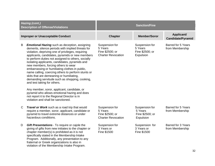| <b>Hazing (cont.)</b><br><b>Description of Offense/Violations</b> |                                                                                                                                                                                                                                                                                                                                                                                                                                                                                                                                                                                                                                                                                                                                                                                             |                                                                           | <b>Sanction/Fine</b>                                      |                                              |
|-------------------------------------------------------------------|---------------------------------------------------------------------------------------------------------------------------------------------------------------------------------------------------------------------------------------------------------------------------------------------------------------------------------------------------------------------------------------------------------------------------------------------------------------------------------------------------------------------------------------------------------------------------------------------------------------------------------------------------------------------------------------------------------------------------------------------------------------------------------------------|---------------------------------------------------------------------------|-----------------------------------------------------------|----------------------------------------------|
| <b>Improper or Unacceptable Conduct</b>                           |                                                                                                                                                                                                                                                                                                                                                                                                                                                                                                                                                                                                                                                                                                                                                                                             | <b>Chapter</b>                                                            | <b>Member/Soror</b>                                       | Applicant/<br><b>Candidate/Pyramid</b>       |
| B                                                                 | <b>Emotional Hazing</b> such as deception, assigning<br>demerits, silence periods with implied threats for<br>violation, depriving one of privileges, requiring<br>applicants, candidates, pyramids or new members<br>to perform duties not assigned to others, socially<br>isolating applicants, candidates, pyramids and<br>new members, forcing others to wear<br>embarrassing or humiliating clothes in public,<br>name calling, coercing others to perform stunts or<br>skits that are demeaning or humiliating,<br>demanding servitude such as shopping, cooking,<br>and test taking for others.<br>Any member, soror, applicant, candidate, or<br>pyramid who allows emotional hazing and does<br>not report it to the Regional Director is in<br>violation and shall be sanctioned. | Suspension for<br>5 Years<br>Fine \$2500; or<br><b>Charter Revocation</b> | Suspension for<br>5 Years<br>Fine \$2500; or<br>Expulsion | <b>Barred for 5 Years</b><br>from Membership |
| C                                                                 | Travel or Work such as a road trip that would<br>require a member, soror, applicant, candidate or<br>pyramid to travel extreme distances or under<br>hazardous conditions.                                                                                                                                                                                                                                                                                                                                                                                                                                                                                                                                                                                                                  | Suspension for<br>5 Years<br>Fine \$2500; or<br><b>Charter Revocation</b> | Suspension for<br>5 Years<br>Fine \$2500; or<br>Expulsion | <b>Barred for 5 Years</b><br>from Membership |
| D                                                                 | Gift Presentations - To require or cajole the<br>giving of gifts from new initiates to the chapter or<br>chapter member(s) is prohibited as it is not<br>specifically stated in the Membership Intake<br>Program. Additionally, any presentation to any<br>fraternal or Greek organizations is also in<br>violation of the Membership Intake Program.                                                                                                                                                                                                                                                                                                                                                                                                                                       | Suspension for<br>3 Years or<br>Fine \$1500                               | Suspension for<br>3 Years or<br>Fine \$1500               | <b>Barred for 3 Years</b><br>from Membership |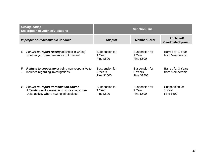|                                         | Hazing (cont.)<br><b>Description of Offense/Violations</b>                                                                               | <b>Sanction/Fine</b>                          |                                               |                                               |
|-----------------------------------------|------------------------------------------------------------------------------------------------------------------------------------------|-----------------------------------------------|-----------------------------------------------|-----------------------------------------------|
| <b>Improper or Unacceptable Conduct</b> |                                                                                                                                          | <b>Chapter</b>                                | <b>Member/Soror</b>                           | Applicant/<br><b>Candidate/Pyramid</b>        |
| E.                                      | <b>Failure to Report Hazing activities in writing</b><br>whether you were present or not present.                                        | Suspension for<br>1 Year<br><b>Fine \$500</b> | Suspension for<br>1 Year<br><b>Fine \$500</b> | Barred for 1 Year<br>from Membership          |
| F                                       | <b>Refusal to cooperate</b> or being non-responsive to<br>inquiries regarding investigations.                                            | Suspension for<br>3 Years<br>Fine \$1500      | Suspension for<br>3 Years<br>Fine \$1500      | Barred for 3 Years<br>from Membership         |
| G                                       | <b>Failure to Report Participation and/or</b><br>Attendance of a member or soror at any non-<br>Delta activity where hazing takes place. | Suspension for<br>1 Year<br><b>Fine \$500</b> | Suspension for<br>1 Year<br><b>Fine \$500</b> | Suspension for<br>1 Year<br><b>Fine \$500</b> |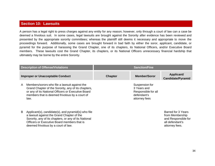### **Section 10: Lawsuits**

A person has a legal right to press charges against any entity for any reason; however, only through a court of law can a case be deemed a frivolous suit. In some cases, legal lawsuits are brought against the Sorority after evidence has been reviewed and presented by the appropriate sorority committees; whereas the plaintiff still deems it necessary and appropriate to move the proceedings forward. Additionally, some cases are brought forward in bad faith by either the soror, applicant, candidate, or pyramid for the purpose of harassing the Grand Chapter, one of its chapters, its National Officers, and/or Executive Board members. These lawsuits cost the Grand Chapter, its chapters, or its National Officers unnecessary financial hardship that ultimately may be borne by the entire Sorority.

| <b>Description of Offense/Violations</b> |                                                                                                                                                                                                                                                  | <b>Sanction/Fine</b> |                                                                                      |                                                                                                   |
|------------------------------------------|--------------------------------------------------------------------------------------------------------------------------------------------------------------------------------------------------------------------------------------------------|----------------------|--------------------------------------------------------------------------------------|---------------------------------------------------------------------------------------------------|
| <b>Improper or Unacceptable Conduct</b>  |                                                                                                                                                                                                                                                  | <b>Chapter</b>       | <b>Member/Soror</b>                                                                  | Applicant/<br><b>Candidate/Pyramid</b>                                                            |
| A                                        | Members/sorors who file a lawsuit against the<br>Grand Chapter of the Sorority, any of its chapters,<br>or any of its National Officers or Executive Board<br>members that is deemed frivolous by a court of<br>law.                             |                      | Suspension for<br>3 Years and<br>Responsible for all<br>defendant's<br>attorney fees |                                                                                                   |
| B                                        | Applicant(s), candidate(s), and pyramid(s) who file<br>a lawsuit against the Grand Chapter of the<br>Sorority, any of its chapters, or any of its National<br>Officers or Executive Board members that is<br>deemed frivolous by a court of law. |                      |                                                                                      | Barred for 3 Years<br>from Membership<br>and Responsible for<br>all defendant's<br>attorney fees. |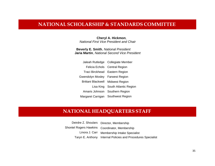## **NATIONAL SCHOLARSHIP & STANDARDS COMMITTEE**

**Cheryl A. Hickmon**, *National First Vice President and Chair*

**Beverly E. Smith**, *National President* **Jaria Martin**, *National Second Vice President* 

|                                   | Jaleah Rutledge Collegiate Member |  |
|-----------------------------------|-----------------------------------|--|
|                                   | Felicia Echols Central Region     |  |
| Traci Birckhead Eastern Region    |                                   |  |
| Gwendolyn Mosley Farwest Region   |                                   |  |
| Brittani Blackwell Midwest Region |                                   |  |
| Lisa King                         | South Atlantic Region             |  |
| Amaris Johnson                    | Southern Region                   |  |
| Margaret Carrigan                 | <b>Southwest Region</b>           |  |

## **NATIONAL HEADQUARTERS STAFF**

Deirdre Z. Shoulars Director, Membership Shontel Rogers Hawkins Coordinator, Membership Linora J. Carr Membership Intake Specialist Taryn E. Anthony Internal Policies and Procedures Specialist